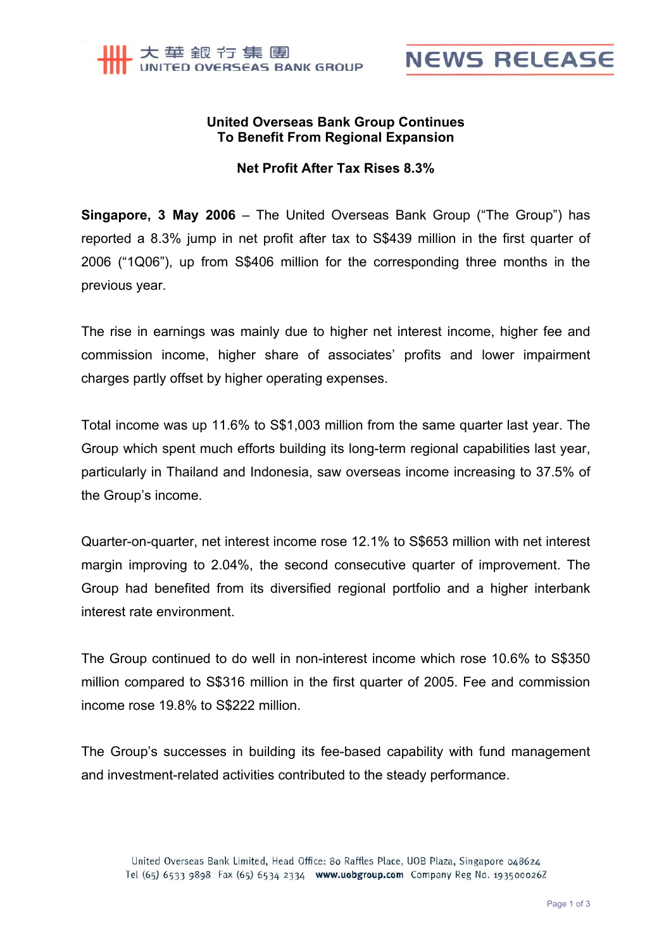



## **United Overseas Bank Group Continues To Benefit From Regional Expansion**

## **Net Profit After Tax Rises 8.3%**

**Singapore, 3 May 2006** – The United Overseas Bank Group ("The Group") has reported a 8.3% jump in net profit after tax to S\$439 million in the first quarter of 2006 ("1Q06"), up from S\$406 million for the corresponding three months in the previous year.

The rise in earnings was mainly due to higher net interest income, higher fee and commission income, higher share of associates' profits and lower impairment charges partly offset by higher operating expenses.

Total income was up 11.6% to S\$1,003 million from the same quarter last year. The Group which spent much efforts building its long-term regional capabilities last year, particularly in Thailand and Indonesia, saw overseas income increasing to 37.5% of the Group's income.

Quarter-on-quarter, net interest income rose 12.1% to S\$653 million with net interest margin improving to 2.04%, the second consecutive quarter of improvement. The Group had benefited from its diversified regional portfolio and a higher interbank interest rate environment.

The Group continued to do well in non-interest income which rose 10.6% to S\$350 million compared to S\$316 million in the first quarter of 2005. Fee and commission income rose 19.8% to S\$222 million.

The Group's successes in building its fee-based capability with fund management and investment-related activities contributed to the steady performance.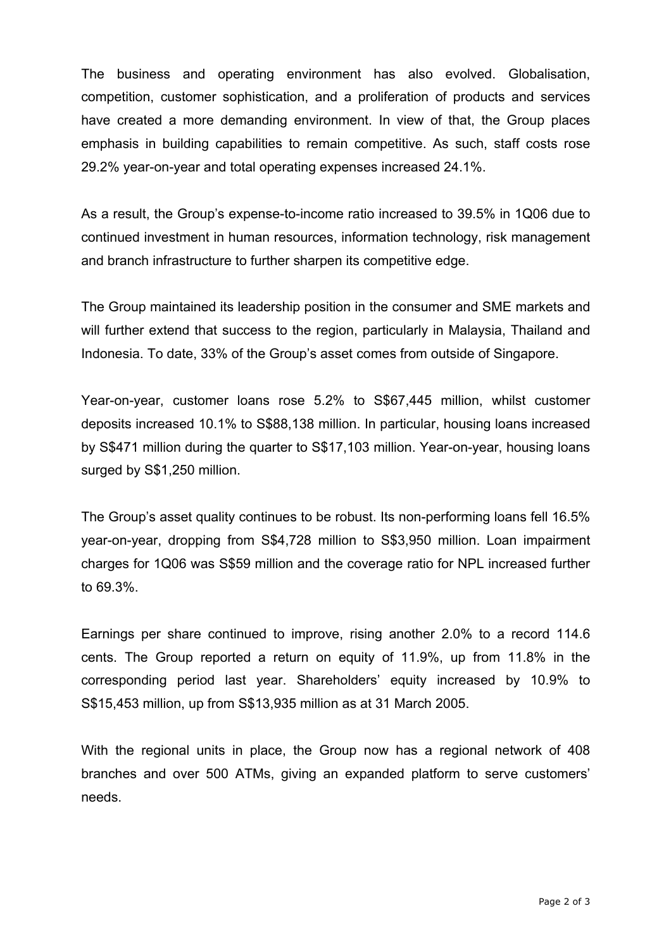The business and operating environment has also evolved. Globalisation, competition, customer sophistication, and a proliferation of products and services have created a more demanding environment. In view of that, the Group places emphasis in building capabilities to remain competitive. As such, staff costs rose 29.2% year-on-year and total operating expenses increased 24.1%.

As a result, the Group's expense-to-income ratio increased to 39.5% in 1Q06 due to continued investment in human resources, information technology, risk management and branch infrastructure to further sharpen its competitive edge.

The Group maintained its leadership position in the consumer and SME markets and will further extend that success to the region, particularly in Malaysia, Thailand and Indonesia. To date, 33% of the Group's asset comes from outside of Singapore.

Year-on-year, customer loans rose 5.2% to S\$67,445 million, whilst customer deposits increased 10.1% to S\$88,138 million. In particular, housing loans increased by S\$471 million during the quarter to S\$17,103 million. Year-on-year, housing loans surged by S\$1,250 million.

The Group's asset quality continues to be robust. Its non-performing loans fell 16.5% year-on-year, dropping from S\$4,728 million to S\$3,950 million. Loan impairment charges for 1Q06 was S\$59 million and the coverage ratio for NPL increased further to 69.3%.

Earnings per share continued to improve, rising another 2.0% to a record 114.6 cents. The Group reported a return on equity of 11.9%, up from 11.8% in the corresponding period last year. Shareholders' equity increased by 10.9% to S\$15,453 million, up from S\$13,935 million as at 31 March 2005.

With the regional units in place, the Group now has a regional network of 408 branches and over 500 ATMs, giving an expanded platform to serve customers' needs.